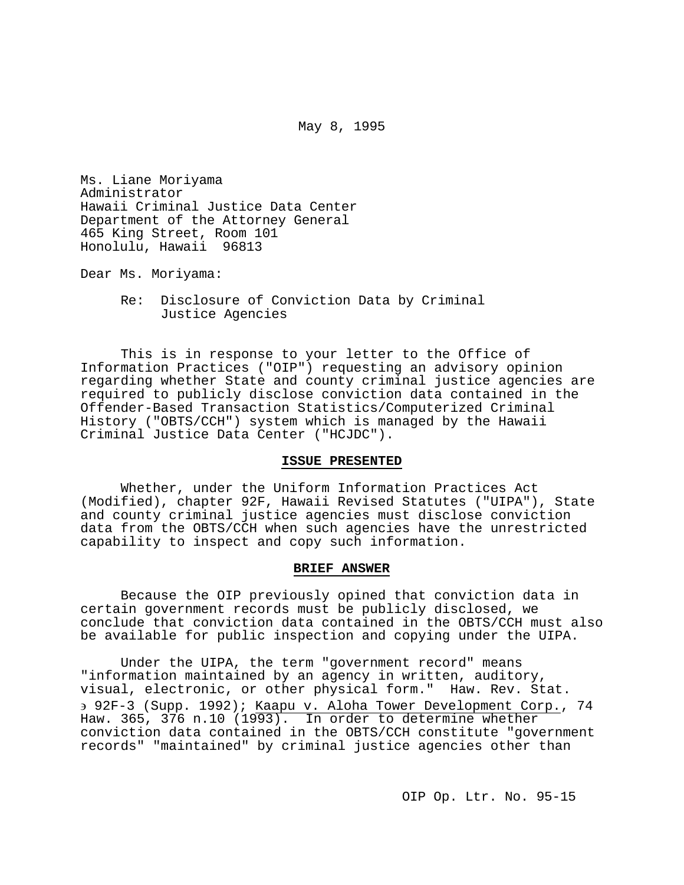May 8, 1995

Ms. Liane Moriyama Administrator Hawaii Criminal Justice Data Center Department of the Attorney General 465 King Street, Room 101 Honolulu, Hawaii 96813

Dear Ms. Moriyama:

Re: Disclosure of Conviction Data by Criminal Justice Agencies

This is in response to your letter to the Office of Information Practices ("OIP") requesting an advisory opinion regarding whether State and county criminal justice agencies are required to publicly disclose conviction data contained in the Offender-Based Transaction Statistics/Computerized Criminal History ("OBTS/CCH") system which is managed by the Hawaii Criminal Justice Data Center ("HCJDC").

### **ISSUE PRESENTED**

Whether, under the Uniform Information Practices Act (Modified), chapter 92F, Hawaii Revised Statutes ("UIPA"), State and county criminal justice agencies must disclose conviction data from the OBTS/CCH when such agencies have the unrestricted capability to inspect and copy such information.

### **BRIEF ANSWER**

Because the OIP previously opined that conviction data in certain government records must be publicly disclosed, we conclude that conviction data contained in the OBTS/CCH must also be available for public inspection and copying under the UIPA.

Under the UIPA, the term "government record" means "information maintained by an agency in written, auditory, visual, electronic, or other physical form." Haw. Rev. Stat. ∋ 92F-3 (Supp. 1992); Kaapu v. Aloha Tower Development Corp., 74 Haw. 365, 376 n.10 (1993). In order to determine whether conviction data contained in the OBTS/CCH constitute "government records" "maintained" by criminal justice agencies other than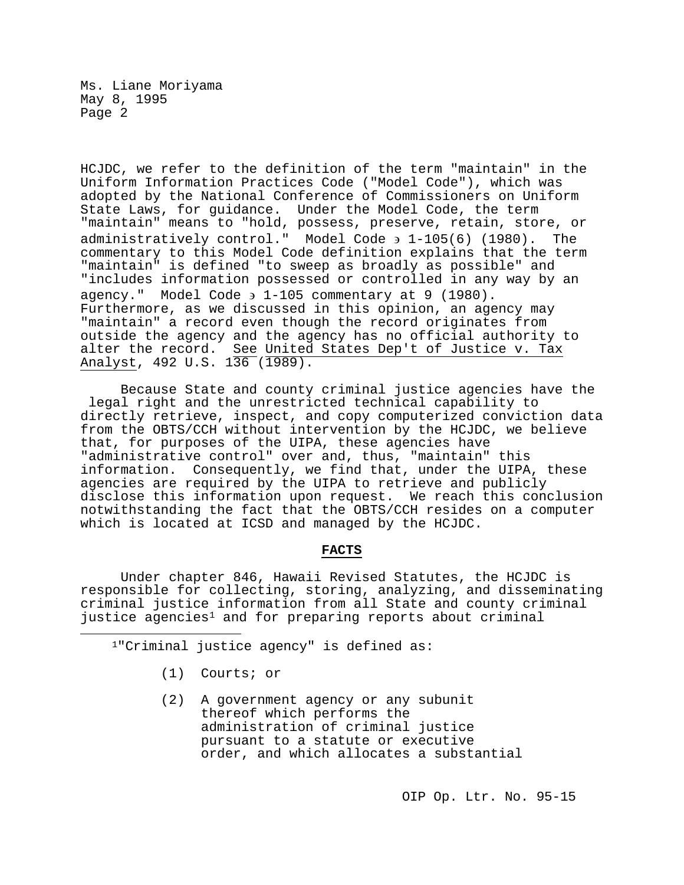HCJDC, we refer to the definition of the term "maintain" in the Uniform Information Practices Code ("Model Code"), which was adopted by the National Conference of Commissioners on Uniform State Laws, for guidance. Under the Model Code, the term "maintain" means to "hold, possess, preserve, retain, store, or administratively control." Model Code ∋ 1-105(6) (1980). The commentary to this Model Code definition explains that the term "maintain" is defined "to sweep as broadly as possible" and "includes information possessed or controlled in any way by an agency." Model Code ∋ 1-105 commentary at 9 (1980). Furthermore, as we discussed in this opinion, an agency may "maintain" a record even though the record originates from outside the agency and the agency has no official authority to alter the record. See United States Dep't of Justice v. Tax Analyst, 492 U.S. 136 (1989).

Because State and county criminal justice agencies have the legal right and the unrestricted technical capability to directly retrieve, inspect, and copy computerized conviction data from the OBTS/CCH without intervention by the HCJDC, we believe that, for purposes of the UIPA, these agencies have "administrative control" over and, thus, "maintain" this information. Consequently, we find that, under the UIPA, these agencies are required by the UIPA to retrieve and publicly disclose this information upon request. We reach this conclusion notwithstanding the fact that the OBTS/CCH resides on a computer which is located at ICSD and managed by the HCJDC.

# **FACTS**

Under chapter 846, Hawaii Revised Statutes, the HCJDC is responsible for collecting, storing, analyzing, and disseminating criminal justice information from all State and county criminal justice agencies<sup>[1](#page-1-0)</sup> and for preparing reports about criminal

1"Criminal justice agency" is defined as:

(1) Courts; or

<span id="page-1-0"></span>Ĩ.

(2) A government agency or any subunit thereof which performs the administration of criminal justice pursuant to a statute or executive order, and which allocates a substantial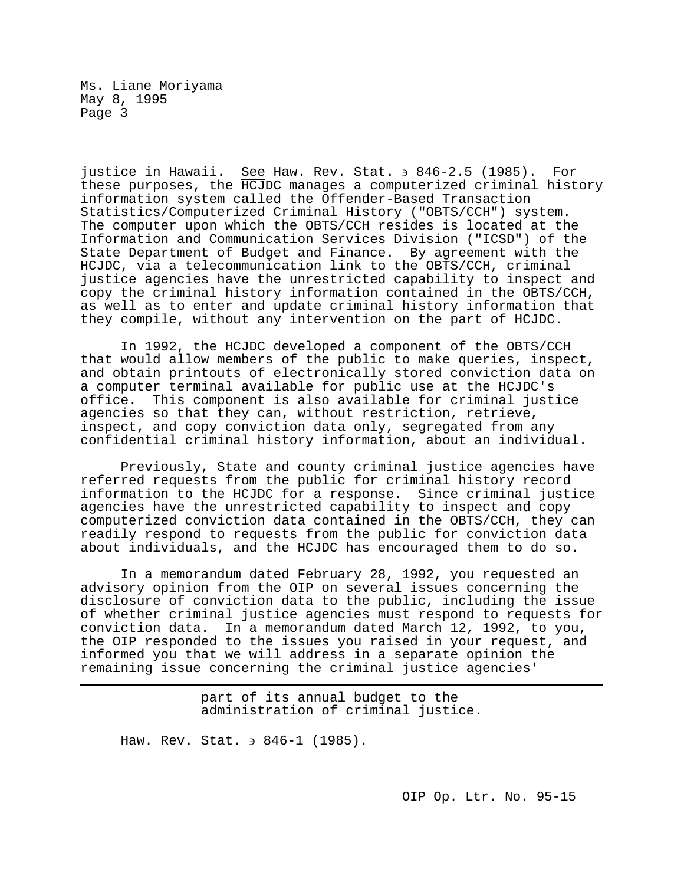justice in Hawaii. See Haw. Rev. Stat. ∋ 846-2.5 (1985). For these purposes, the HCJDC manages a computerized criminal history information system called the Offender-Based Transaction Statistics/Computerized Criminal History ("OBTS/CCH") system. The computer upon which the OBTS/CCH resides is located at the Information and Communication Services Division ("ICSD") of the State Department of Budget and Finance. By agreement with the HCJDC, via a telecommunication link to the OBTS/CCH, criminal justice agencies have the unrestricted capability to inspect and copy the criminal history information contained in the OBTS/CCH, as well as to enter and update criminal history information that they compile, without any intervention on the part of HCJDC.

In 1992, the HCJDC developed a component of the OBTS/CCH that would allow members of the public to make queries, inspect, and obtain printouts of electronically stored conviction data on a computer terminal available for public use at the HCJDC's This component is also available for criminal justice agencies so that they can, without restriction, retrieve, inspect, and copy conviction data only, segregated from any confidential criminal history information, about an individual.

Previously, State and county criminal justice agencies have referred requests from the public for criminal history record information to the HCJDC for a response. Since criminal justice agencies have the unrestricted capability to inspect and copy computerized conviction data contained in the OBTS/CCH, they can readily respond to requests from the public for conviction data about individuals, and the HCJDC has encouraged them to do so.

In a memorandum dated February 28, 1992, you requested an advisory opinion from the OIP on several issues concerning the disclosure of conviction data to the public, including the issue of whether criminal justice agencies must respond to requests for conviction data. In a memorandum dated March 12, 1992, to you, the OIP responded to the issues you raised in your request, and informed you that we will address in a separate opinion the remaining issue concerning the criminal justice agencies'

> part of its annual budget to the administration of criminal justice.

Haw. Rev. Stat. → 846-1 (1985).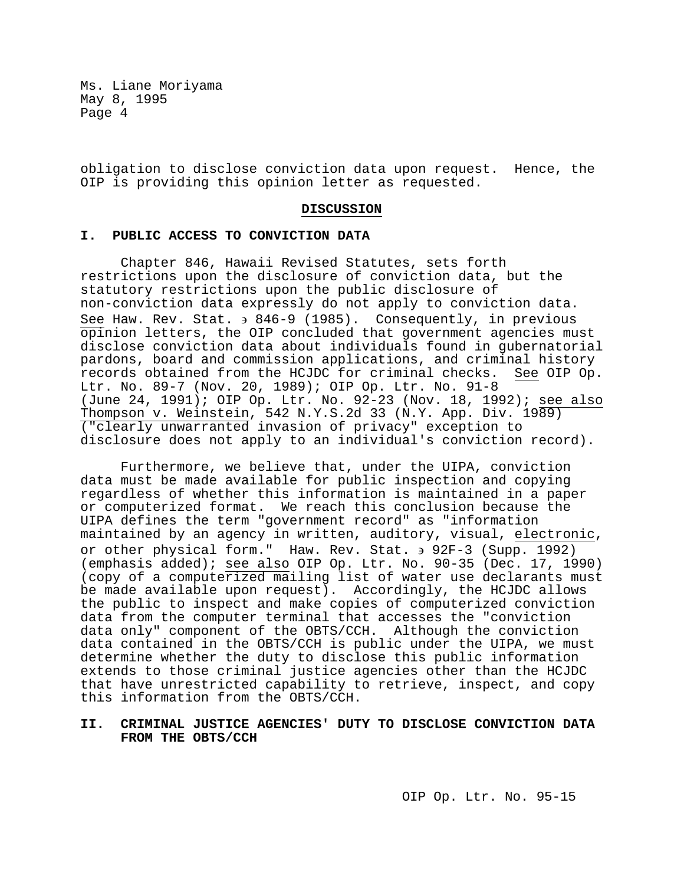obligation to disclose conviction data upon request. Hence, the OIP is providing this opinion letter as requested.

#### **DISCUSSION**

#### **I. PUBLIC ACCESS TO CONVICTION DATA**

Chapter 846, Hawaii Revised Statutes, sets forth restrictions upon the disclosure of conviction data, but the statutory restrictions upon the public disclosure of non-conviction data expressly do not apply to conviction data. See Haw. Rev. Stat. ∋ 846-9 (1985). Consequently, in previous opinion letters, the OIP concluded that government agencies must disclose conviction data about individuals found in gubernatorial pardons, board and commission applications, and criminal history records obtained from the HCJDC for criminal checks. Ltr. No. 89-7 (Nov. 20, 1989); OIP Op. Ltr. No. 91-8 (June 24, 1991); OIP Op. Ltr. No. 92-23 (Nov. 18, 1992); see also Thompson v. Weinstein, 542 N.Y.S.2d 33 (N.Y. App. Div. 1989) ("clearly unwarranted invasion of privacy" exception to disclosure does not apply to an individual's conviction record).

Furthermore, we believe that, under the UIPA, conviction data must be made available for public inspection and copying regardless of whether this information is maintained in a paper or computerized format. We reach this conclusion because the UIPA defines the term "government record" as "information maintained by an agency in written, auditory, visual, electronic, or other physical form." Haw. Rev. Stat. ∋ 92F-3 (Supp. 1992) (emphasis added); see also OIP Op. Ltr. No. 90-35 (Dec. 17, 1990) (copy of a computerized mailing list of water use declarants must be made available upon request). Accordingly, the HCJDC allows the public to inspect and make copies of computerized conviction data from the computer terminal that accesses the "conviction data only" component of the OBTS/CCH. Although the conviction data contained in the OBTS/CCH is public under the UIPA, we must determine whether the duty to disclose this public information extends to those criminal justice agencies other than the HCJDC that have unrestricted capability to retrieve, inspect, and copy this information from the OBTS/CCH.

# **II. CRIMINAL JUSTICE AGENCIES' DUTY TO DISCLOSE CONVICTION DATA FROM THE OBTS/CCH**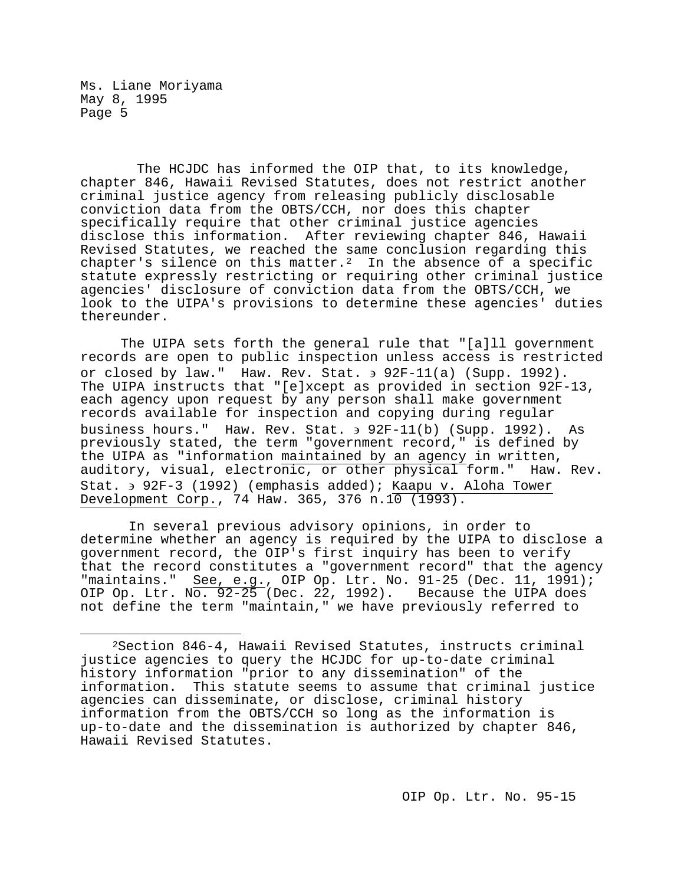The HCJDC has informed the OIP that, to its knowledge, chapter 846, Hawaii Revised Statutes, does not restrict another criminal justice agency from releasing publicly disclosable conviction data from the OBTS/CCH, nor does this chapter specifically require that other criminal justice agencies disclose this information. After reviewing chapter 846, Hawaii Revised Statutes, we reached the same conclusion regarding this chapter's silence on this matter.<sup>2</sup> In the absence of a specific statute expressly restricting or requiring other criminal justice agencies' disclosure of conviction data from the OBTS/CCH, we look to the UIPA's provisions to determine these agencies' duties thereunder.

The UIPA sets forth the general rule that "[a]ll government records are open to public inspection unless access is restricted or closed by law." Haw. Rev. Stat. ∋ 92F-11(a) (Supp. 1992). The UIPA instructs that "[e]xcept as provided in section 92F-13, each agency upon request by any person shall make government records available for inspection and copying during regular business hours." Haw. Rev. Stat. ∋ 92F-11(b) (Supp. 1992). As previously stated, the term "government record," is defined by the UIPA as "information maintained by an agency in written, auditory, visual, electronic, or other physical form." Haw. Rev. Stat. ∋ 92F-3 (1992) (emphasis added); Kaapu v. Aloha Tower Development Corp., 74 Haw. 365, 376 n.10 (1993).

In several previous advisory opinions, in order to determine whether an agency is required by the UIPA to disclose a government record, the OIP's first inquiry has been to verify that the record constitutes a "government record" that the agency "maintains." See, e.g., OIP Op. Ltr. No. 91-25 (Dec. 11, 1991); OIP Op. Ltr. No. 92-25 (Dec. 22, 1992). Because the UIPA does not define the term "maintain," we have previously referred to

<span id="page-4-0"></span>Ĩ. 2Section 846-4, Hawaii Revised Statutes, instructs criminal justice agencies to query the HCJDC for up-to-date criminal history information "prior to any dissemination" of the information. This statute seems to assume that criminal justice agencies can disseminate, or disclose, criminal history information from the OBTS/CCH so long as the information is up-to-date and the dissemination is authorized by chapter 846, Hawaii Revised Statutes.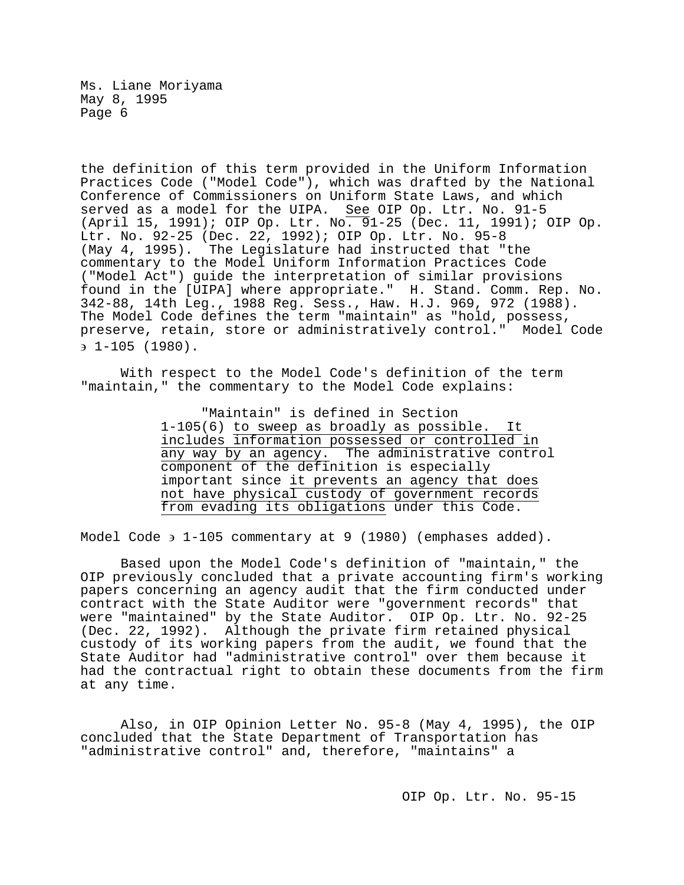the definition of this term provided in the Uniform Information Practices Code ("Model Code"), which was drafted by the National Conference of Commissioners on Uniform State Laws, and which served as a model for the UIPA. See OIP Op. Ltr. No. 91-5 (April 15, 1991); OIP Op. Ltr. No. 91-25 (Dec. 11, 1991); OIP Op. Ltr. No. 92-25 (Dec. 22, 1992); OIP Op. Ltr. No. 95-8 (May 4, 1995). The Legislature had instructed that "the commentary to the Model Uniform Information Practices Code ("Model Act") guide the interpretation of similar provisions found in the [UIPA] where appropriate." H. Stand. Comm. Rep. No. 342-88, 14th Leg., 1988 Reg. Sess., Haw. H.J. 969, 972 (1988). The Model Code defines the term "maintain" as "hold, possess, preserve, retain, store or administratively control." Model Code ∋ 1-105 (1980).

With respect to the Model Code's definition of the term "maintain," the commentary to the Model Code explains:

> "Maintain" is defined in Section 1-105(6) to sweep as broadly as possible. It includes information possessed or controlled in any way by an agency. The administrative control component of the definition is especially important since it prevents an agency that does not have physical custody of government records from evading its obligations under this Code.

Model Code ∋ 1-105 commentary at 9 (1980) (emphases added).

Based upon the Model Code's definition of "maintain," the OIP previously concluded that a private accounting firm's working papers concerning an agency audit that the firm conducted under contract with the State Auditor were "government records" that were "maintained" by the State Auditor. OIP Op. Ltr. No. 92-25 (Dec. 22, 1992). Although the private firm retained physical custody of its working papers from the audit, we found that the State Auditor had "administrative control" over them because it had the contractual right to obtain these documents from the firm at any time.

Also, in OIP Opinion Letter No. 95-8 (May 4, 1995), the OIP concluded that the State Department of Transportation has "administrative control" and, therefore, "maintains" a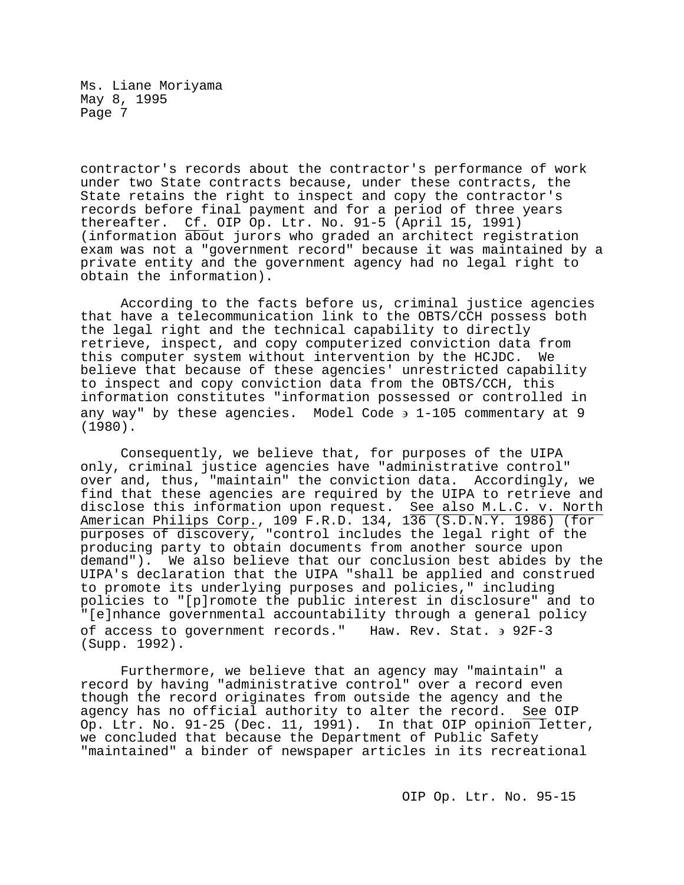contractor's records about the contractor's performance of work under two State contracts because, under these contracts, the State retains the right to inspect and copy the contractor's records before final payment and for a period of three years thereafter. Cf. OIP Op. Ltr. No. 91-5 (April 15, 1991) (information about jurors who graded an architect registration exam was not a "government record" because it was maintained by a private entity and the government agency had no legal right to obtain the information).

According to the facts before us, criminal justice agencies that have a telecommunication link to the OBTS/CCH possess both the legal right and the technical capability to directly retrieve, inspect, and copy computerized conviction data from this computer system without intervention by the HCJDC. We believe that because of these agencies' unrestricted capability to inspect and copy conviction data from the OBTS/CCH, this information constitutes "information possessed or controlled in any way" by these agencies. Model Code  $\frac{1}{2}$  1-105 commentary at 9 (1980).

Consequently, we believe that, for purposes of the UIPA only, criminal justice agencies have "administrative control" over and, thus, "maintain" the conviction data. Accordingly, we find that these agencies are required by the UIPA to retrieve and disclose this information upon request. See also M.L.C. v. North American Philips Corp., 109 F.R.D. 134, 136 (S.D.N.Y. 1986) (for purposes of discovery, "control includes the legal right of the producing party to obtain documents from another source upon demand"). We also believe that our conclusion best abides by the UIPA's declaration that the UIPA "shall be applied and construed to promote its underlying purposes and policies," including policies to "[p]romote the public interest in disclosure" and to "[e]nhance governmental accountability through a general policy of access to government records." Haw. Rev. Stat. ∋ 92F-3 (Supp. 1992).

Furthermore, we believe that an agency may "maintain" a record by having "administrative control" over a record even though the record originates from outside the agency and the agency has no official authority to alter the record. See OIP Op. Ltr. No. 91-25 (Dec. 11, 1991). In that OIP opinion letter, we concluded that because the Department of Public Safety "maintained" a binder of newspaper articles in its recreational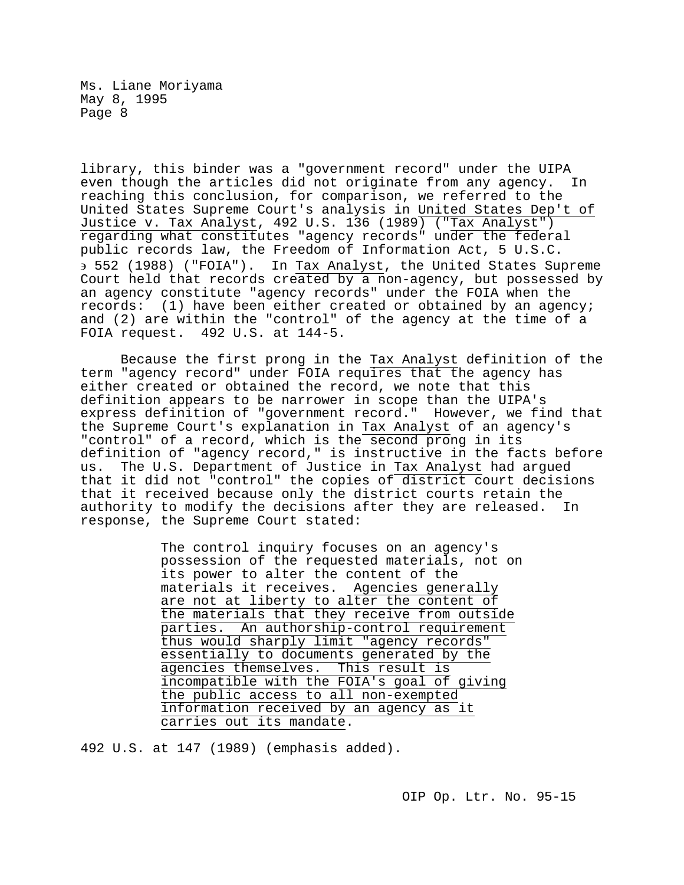library, this binder was a "government record" under the UIPA even though the articles did not originate from any agency. reaching this conclusion, for comparison, we referred to the United States Supreme Court's analysis in United States Dep't of Justice v. Tax Analyst, 492 U.S. 136 (1989) ("Tax Analyst") regarding what constitutes "agency records" under the federal public records law, the Freedom of Information Act, 5 U.S.C. ∋ 552 (1988) ("FOIA"). In Tax Analyst, the United States Supreme Court held that records created by a non-agency, but possessed by an agency constitute "agency records" under the FOIA when the records: (1) have been either created or obtained by an agency; and (2) are within the "control" of the agency at the time of a FOIA request. 492 U.S. at 144-5.

Because the first prong in the Tax Analyst definition of the term "agency record" under FOIA requires that the agency has either created or obtained the record, we note that this definition appears to be narrower in scope than the UIPA's express definition of "government record." However, we find that the Supreme Court's explanation in Tax Analyst of an agency's "control" of a record, which is the second prong in its definition of "agency record," is instructive in the facts before<br>us. The U.S. Department of Justice in Tax Analyst had arqued The U.S. Department of Justice in Tax Analyst had argued that it did not "control" the copies of district court decisions that it received because only the district courts retain the<br>authority to modify the decisions after they are released. In authority to modify the decisions after they are released. response, the Supreme Court stated:

> The control inquiry focuses on an agency's possession of the requested materials, not on its power to alter the content of the materials it receives. Agencies generally are not at liberty to alter the content of the materials that they receive from outside parties. An authorship-control requirement thus would sharply limit "agency records" essentially to documents generated by the agencies themselves. This result is incompatible with the FOIA's goal of giving the public access to all non-exempted information received by an agency as it carries out its mandate.

492 U.S. at 147 (1989) (emphasis added).